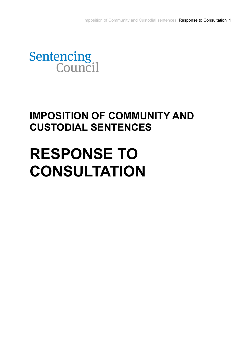

## **IMPOSITION OF COMMUNITY AND CUSTODIAL SENTENCES**

# **RESPONSE TO CONSULTATION**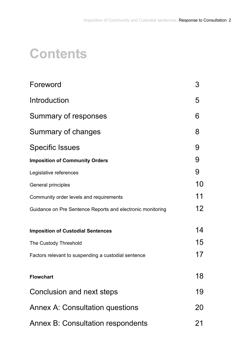## **Contents**

| Foreword                                                   | 3               |
|------------------------------------------------------------|-----------------|
| Introduction                                               | 5               |
| Summary of responses                                       | 6               |
| Summary of changes                                         | 8               |
| <b>Specific Issues</b>                                     | 9               |
| <b>Imposition of Community Orders</b>                      | 9               |
| Legislative references                                     | 9               |
| General principles                                         | 10              |
| Community order levels and requirements                    | 11              |
| Guidance on Pre Sentence Reports and electronic monitoring | 12 <sup>2</sup> |
| <b>Imposition of Custodial Sentences</b>                   | 14              |
| The Custody Threshold                                      | 15              |
| Factors relevant to suspending a custodial sentence        | 17              |
| <b>Flowchart</b>                                           | 18              |
| Conclusion and next steps                                  | 19              |
| <b>Annex A: Consultation questions</b>                     | 20              |
| Annex B: Consultation respondents                          | 21              |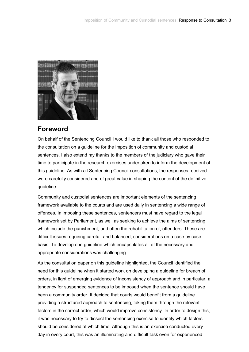<span id="page-2-0"></span>

## **Foreword**

On behalf of the Sentencing Council I would like to thank all those who responded to the consultation on a guideline for the imposition of community and custodial sentences. I also extend my thanks to the members of the judiciary who gave their time to participate in the research exercises undertaken to inform the development of this guideline. As with all Sentencing Council consultations, the responses received were carefully considered and of great value in shaping the content of the definitive guideline.

Community and custodial sentences are important elements of the sentencing framework available to the courts and are used daily in sentencing a wide range of offences. In imposing these sentences, sentencers must have regard to the legal framework set by Parliament, as well as seeking to achieve the aims of sentencing which include the punishment, and often the rehabilitation of, offenders. These are difficult issues requiring careful, and balanced, considerations on a case by case basis. To develop one guideline which encapsulates all of the necessary and appropriate considerations was challenging.

As the consultation paper on this guideline highlighted, the Council identified the need for this guideline when it started work on developing a guideline for breach of orders, in light of emerging evidence of inconsistency of approach and in particular, a tendency for suspended sentences to be imposed when the sentence should have been a community order. It decided that courts would benefit from a guideline providing a structured approach to sentencing, taking them through the relevant factors in the correct order, which would improve consistency. In order to design this, it was necessary to try to dissect the sentencing exercise to identify which factors should be considered at which time. Although this is an exercise conducted every day in every court, this was an illuminating and difficult task even for experienced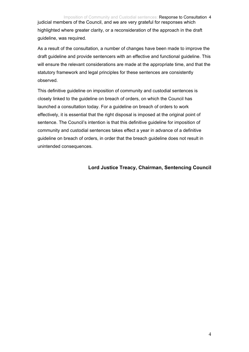judicial members of the Council, and we are very grateful for responses which highlighted where greater clarity, or a reconsideration of the approach in the draft guideline, was required.

As a result of the consultation, a number of changes have been made to improve the draft guideline and provide sentencers with an effective and functional guideline. This will ensure the relevant considerations are made at the appropriate time, and that the statutory framework and legal principles for these sentences are consistently observed.

This definitive guideline on imposition of community and custodial sentences is closely linked to the guideline on breach of orders, on which the Council has launched a consultation today. For a guideline on breach of orders to work effectively, it is essential that the right disposal is imposed at the original point of sentence. The Council's intention is that this definitive guideline for imposition of community and custodial sentences takes effect a year in advance of a definitive guideline on breach of orders, in order that the breach guideline does not result in unintended consequences.

## **Lord Justice Treacy, Chairman, Sentencing Council**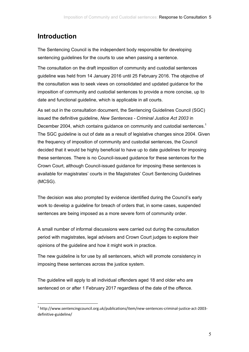## <span id="page-4-0"></span>**Introduction**

1

The Sentencing Council is the independent body responsible for developing sentencing guidelines for the courts to use when passing a sentence.

The consultation on the draft imposition of community and custodial sentences guideline was held from 14 January 2016 until 25 February 2016. The objective of the consultation was to seek views on consolidated and updated guidance for the imposition of community and custodial sentences to provide a more concise, up to date and functional guideline, which is applicable in all courts.

As set out in the consultation document, the Sentencing Guidelines Council (SGC) issued the definitive guideline, *New Sentences - Criminal Justice Act 2003* in December 2004, which contains guidance on community and custodial sentences.<sup>1</sup> The SGC guideline is out of date as a result of legislative changes since 2004. Given the frequency of imposition of community and custodial sentences, the Council decided that it would be highly beneficial to have up to date guidelines for imposing these sentences. There is no Council-issued guidance for these sentences for the Crown Court, although Council-issued guidance for imposing these sentences is available for magistrates' courts in the Magistrates' Court Sentencing Guidelines (MCSG).

The decision was also prompted by evidence identified during the Council's early work to develop a guideline for breach of orders that, in some cases, suspended sentences are being imposed as a more severe form of community order.

A small number of informal discussions were carried out during the consultation period with magistrates, legal advisers and Crown Court judges to explore their opinions of the guideline and how it might work in practice.

The new guideline is for use by all sentencers, which will promote consistency in imposing these sentences across the justice system.

The guideline will apply to all individual offenders aged 18 and older who are sentenced on or after 1 February 2017 regardless of the date of the offence.

<sup>1</sup> http://www.sentencingcouncil.org.uk/publications/item/new‐sentences‐criminal‐justice‐act‐2003‐ definitive‐guideline/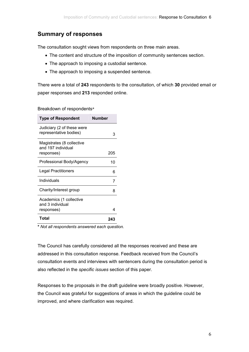## <span id="page-5-0"></span>**Summary of responses**

The consultation sought views from respondents on three main areas.

- The content and structure of the imposition of community sentences section.
- The approach to imposing a custodial sentence.
- The approach to imposing a suspended sentence.

There were a total of **243** respondents to the consultation, of which **30** provided email or paper responses and **213** responded online.

Breakdown of respondents**\***

| <b>Type of Respondent</b>                                     | <b>Number</b> |
|---------------------------------------------------------------|---------------|
| Judiciary (2 of these were<br>representative bodies)          | 3             |
| Magistrates (8 collective<br>and 197 individual<br>responses) | 205           |
| Professional Body/Agency                                      | 10            |
| Legal Practitioners                                           | 6             |
| Individuals                                                   | 7             |
| Charity/Interest group                                        | ጸ             |
| Academics (1 collective<br>and 3 individual<br>responses)     | 4             |
| Total                                                         | 243           |

**\*** *Not all respondents answered each question.* 

The Council has carefully considered all the responses received and these are addressed in this consultation response. Feedback received from the Council's consultation events and interviews with sentencers during the consultation period is also reflected in the *specific issues* section of this paper.

Responses to the proposals in the draft guideline were broadly positive. However, the Council was grateful for suggestions of areas in which the guideline could be improved, and where clarification was required.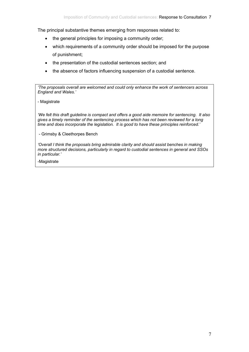The principal substantive themes emerging from responses related to:

- the general principles for imposing a community order;
- which requirements of a community order should be imposed for the purpose of punishment;
- the presentation of the custodial sentences section; and
- the absence of factors influencing suspension of a custodial sentence.

*'The proposals overall are welcomed and could only enhance the work of sentencers across England and Wales.'* 

#### - Magistrate

*'We felt this draft guideline is compact and offers a good aide memoire for sentencing. It also gives a timely reminder of the sentencing process which has not been reviewed for a long time and does incorporate the legislation. It is good to have these principles reinforced.'* 

- Grimsby & Cleethorpes Bench

'Overall I think the proposals bring admirable clarity and should assist benches in making *more structured decisions, particularly in regard to custodial sentences in general and SSOs in particular.'* 

-Magistrate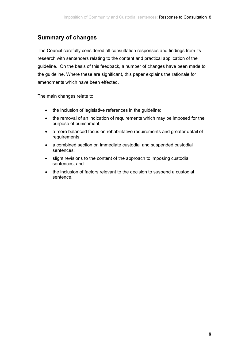## <span id="page-7-0"></span>**Summary of changes**

The Council carefully considered all consultation responses and findings from its research with sentencers relating to the content and practical application of the guideline. On the basis of this feedback, a number of changes have been made to the guideline. Where these are significant, this paper explains the rationale for amendments which have been effected.

The main changes relate to;

- the inclusion of legislative references in the guideline;
- the removal of an indication of requirements which may be imposed for the purpose of punishment;
- a more balanced focus on rehabilitative requirements and greater detail of requirements;
- a combined section on immediate custodial and suspended custodial sentences;
- slight revisions to the content of the approach to imposing custodial sentences; and
- the inclusion of factors relevant to the decision to suspend a custodial sentence.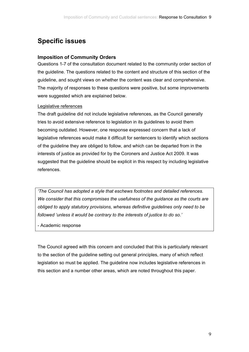## <span id="page-8-0"></span>**Specific issues**

## **Imposition of Community Orders**

Questions 1-7 of the consultation document related to the community order section of the guideline. The questions related to the content and structure of this section of the guideline, and sought views on whether the content was clear and comprehensive. The majority of responses to these questions were positive, but some improvements were suggested which are explained below.

#### Legislative references

The draft guideline did not include legislative references, as the Council generally tries to avoid extensive reference to legislation in its guidelines to avoid them becoming outdated. However, one response expressed concern that a lack of legislative references would make it difficult for sentencers to identify which sections of the guideline they are obliged to follow, and which can be departed from in the interests of justice as provided for by the Coroners and Justice Act 2009. It was suggested that the guideline should be explicit in this respect by including legislative references.

*'The Council has adopted a style that eschews footnotes and detailed references. We consider that this compromises the usefulness of the guidance as the courts are obliged to apply statutory provisions, whereas definitive guidelines only need to be followed 'unless it would be contrary to the interests of justice to do so.'* 

- Academic response

The Council agreed with this concern and concluded that this is particularly relevant to the section of the guideline setting out general principles, many of which reflect legislation so must be applied. The guideline now includes legislative references in this section and a number other areas, which are noted throughout this paper.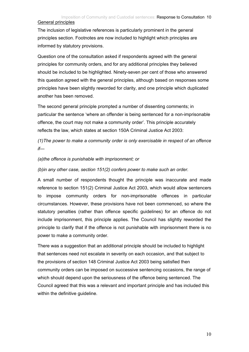## Imposition of Community and Custodial sentences: Response to Consultation 10

<span id="page-9-0"></span>General principles

The inclusion of legislative references is particularly prominent in the general principles section. Footnotes are now included to highlight which principles are informed by statutory provisions.

Question one of the consultation asked if respondents agreed with the general principles for community orders, and for any additional principles they believed should be included to be highlighted. Ninety-seven per cent of those who answered this question agreed with the general principles, although based on responses some principles have been slightly reworded for clarity, and one principle which duplicated another has been removed.

The second general principle prompted a number of dissenting comments; in particular the sentence 'where an offender is being sentenced for a non-imprisonable offence, the court may not make a community order'. This principle accurately reflects the law, which states at section 150A Criminal Justice Act 2003:

*(1)The power to make a community order is only exercisable in respect of an offence if—* 

*(a)the offence is punishable with imprisonment; or* 

*(b)in any other case, section 151(2) confers power to make such an order.* 

A small number of respondents thought the principle was inaccurate and made reference to section 151(2) Criminal Justice Act 2003, which would allow sentencers to impose community orders for non-imprisonable offences in particular circumstances. However, these provisions have not been commenced, so where the statutory penalties (rather than offence specific guidelines) for an offence do not include imprisonment, this principle applies. The Council has slightly reworded the principle to clarify that if the offence is not punishable with imprisonment there is no power to make a community order.

There was a suggestion that an additional principle should be included to highlight that sentences need not escalate in severity on each occasion, and that subject to the provisions of section 148 Criminal Justice Act 2003 being satisfied then community orders can be imposed on successive sentencing occasions, the range of which should depend upon the seriousness of the offence being sentenced. The Council agreed that this was a relevant and important principle and has included this within the definitive guideline.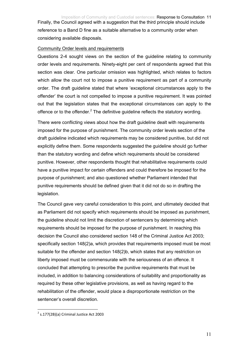<span id="page-10-0"></span>Finally, the Council agreed with a suggestion that the third principle should include reference to a Band D fine as a suitable alternative to a community order when considering available disposals.

#### Community Order levels and requirements

Questions 2-4 sought views on the section of the guideline relating to community order levels and requirements. Ninety-eight per cent of respondents agreed that this section was clear. One particular omission was highlighted, which relates to factors which allow the court not to impose a punitive requirement as part of a community order. The draft guideline stated that where 'exceptional circumstances apply to the offender' the court is not compelled to impose a punitive requirement. It was pointed out that the legislation states that the exceptional circumstances can apply to the offence or to the offender. $2$  The definitive guideline reflects the statutory wording.

There were conflicting views about how the draft guideline dealt with requirements imposed for the purpose of punishment. The community order levels section of the draft guideline indicated which requirements may be considered punitive, but did not explicitly define them. Some respondents suggested the guideline should go further than the statutory wording and define which requirements should be considered punitive. However, other respondents thought that rehabilitative requirements could have a punitive impact for certain offenders and could therefore be imposed for the purpose of punishment; and also questioned whether Parliament intended that punitive requirements should be defined given that it did not do so in drafting the legislation.

The Council gave very careful consideration to this point, and ultimately decided that as Parliament did not specify which requirements should be imposed as punishment, the guideline should not limit the discretion of sentencers by determining which requirements should be imposed for the purpose of punishment. In reaching this decision the Council also considered section 148 of the Criminal Justice Act 2003; specifically section 148(2)a, which provides that requirements imposed must be most suitable for the offender and section 148(2)b, which states that any restriction on liberty imposed must be commensurate with the seriousness of an offence. It concluded that attempting to prescribe the punitive requirements that must be included, in addition to balancing considerations of suitability and proportionality as required by these other legislative provisions, as well as having regard to the rehabilitation of the offender, would place a disproportionate restriction on the sentencer's overall discretion.

1

 $2$  s.177(2B)(a) Criminal Justice Act 2003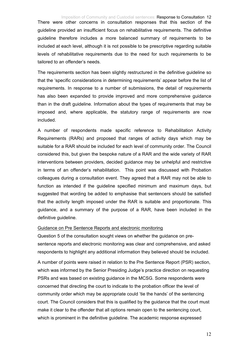<span id="page-11-0"></span>There were other concerns in consultation responses that this section of the guideline provided an insufficient focus on rehabilitative requirements. The definitive guideline therefore includes a more balanced summary of requirements to be included at each level, although it is not possible to be prescriptive regarding suitable levels of rehabilitative requirements due to the need for such requirements to be tailored to an offender's needs.

The requirements section has been slightly restructured in the definitive guideline so that the 'specific considerations in determining requirements' appear before the list of requirements. In response to a number of submissions, the detail of requirements has also been expanded to provide improved and more comprehensive guidance than in the draft guideline. Information about the types of requirements that may be imposed and, where applicable, the statutory range of requirements are now included.

A number of respondents made specific reference to Rehabilitation Activity Requirements (RARs) and proposed that ranges of activity days which may be suitable for a RAR should be included for each level of community order. The Council considered this, but given the bespoke nature of a RAR and the wide variety of RAR interventions between providers, decided guidance may be unhelpful and restrictive in terms of an offender's rehabilitation. This point was discussed with Probation colleagues during a consultation event. They agreed that a RAR may not be able to function as intended if the guideline specified minimum and maximum days, but suggested that wording be added to emphasise that sentencers should be satisfied that the activity length imposed under the RAR is suitable and proportionate. This guidance, and a summary of the purpose of a RAR, have been included in the definitive guideline.

#### Guidance on Pre Sentence Reports and electronic monitoring

Question 5 of the consultation sought views on whether the guidance on presentence reports and electronic monitoring was clear and comprehensive, and asked respondents to highlight any additional information they believed should be included.

A number of points were raised in relation to the Pre Sentence Report (PSR) section, which was informed by the Senior Presiding Judge's practice direction on requesting PSRs and was based on existing guidance in the MCSG. Some respondents were concerned that directing the court to indicate to the probation officer the level of community order which may be appropriate could 'tie the hands' of the sentencing court. The Council considers that this is qualified by the guidance that the court must make it clear to the offender that all options remain open to the sentencing court, which is prominent in the definitive guideline. The academic response expressed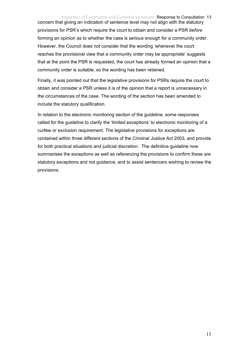#### Imposition of Community and Custodial sentences: Response to Consultation 13

concern that giving an indication of sentence level may not align with the statutory provisions for PSR's which require the court to obtain and consider a PSR *before* forming an opinion as to whether the case is serious enough for a community order. However, the Council does not consider that the wording 'whenever the court reaches the provisional view that a community order may be appropriate' suggests that at the point the PSR is requested, the court has already formed an opinion that a community order is suitable, so the wording has been retained.

Finally, it was pointed out that the legislative provisions for PSRs require the court to obtain and consider a PSR unless it is of the opinion that a report is unnecessary in the circumstances of the case. The wording of the section has been amended to include the statutory qualification.

In relation to the electronic monitoring section of the guideline, some responses called for the guideline to clarify the 'limited exceptions' to electronic monitoring of a curfew or exclusion requirement. The legislative provisions for exceptions are contained within three different sections of the Criminal Justice Act 2003, and provide for both practical situations and judicial discretion. The definitive guideline now summarises the exceptions as well as referencing the provisions to confirm these are statutory exceptions and not guidance, and to assist sentencers wishing to review the provisions.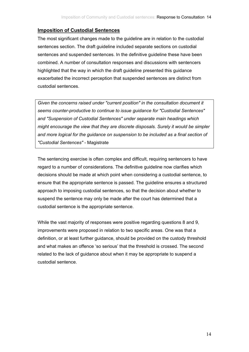### <span id="page-13-0"></span>**Imposition of Custodial Sentences**

The most significant changes made to the guideline are in relation to the custodial sentences section. The draft guideline included separate sections on custodial sentences and suspended sentences. In the definitive guideline these have been combined. A number of consultation responses and discussions with sentencers highlighted that the way in which the draft guideline presented this guidance exacerbated the incorrect perception that suspended sentences are distinct from custodial sentences.

*Given the concerns raised under "current position" in the consultation document it seems counter-productive to continue to issue guidance for "Custodial Sentences" and "Suspension of Custodial Sentences" under separate main headings which might encourage the view that they are discrete disposals. Surely it would be simpler and more logical for the guidance on suspension to be included as a final section of "Custodial Sentences"* - Magistrate

The sentencing exercise is often complex and difficult, requiring sentencers to have regard to a number of considerations. The definitive guideline now clarifies which decisions should be made at which point when considering a custodial sentence, to ensure that the appropriate sentence is passed. The guideline ensures a structured approach to imposing custodial sentences, so that the decision about whether to suspend the sentence may only be made after the court has determined that a custodial sentence is the appropriate sentence.

While the vast majority of responses were positive regarding questions 8 and 9, improvements were proposed in relation to two specific areas. One was that a definition, or at least further guidance, should be provided on the custody threshold and what makes an offence 'so serious' that the threshold is crossed. The second related to the lack of guidance about when it may be appropriate to suspend a custodial sentence.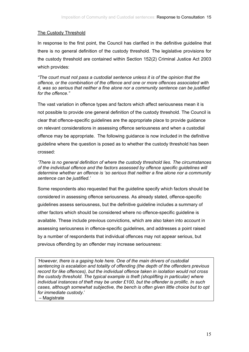### <span id="page-14-0"></span>The Custody Threshold

In response to the first point, the Council has clarified in the definitive guideline that there is no general definition of the custody threshold. The legislative provisions for the custody threshold are contained within Section 152(2) Criminal Justice Act 2003 which provides:

*"The court must not pass a custodial sentence unless it is of the opinion that the offence, or the combination of the offence and one or more offences associated with it, was so serious that neither a fine alone nor a community sentence can be justified for the offence."* 

The vast variation in offence types and factors which affect seriousness mean it is not possible to provide one general definition of the custody threshold. The Council is clear that offence-specific guidelines are the appropriate place to provide guidance on relevant considerations in assessing offence seriousness and when a custodial offence may be appropriate. The following guidance is now included in the definitive guideline where the question is posed as to whether the custody threshold has been crossed:

*'There is no general definition of where the custody threshold lies. The circumstances of the individual offence and the factors assessed by offence specific guidelines will determine whether an offence is 'so serious that neither a fine alone nor a community sentence can be justified.'* 

Some respondents also requested that the guideline specify which factors should be considered in assessing offence seriousness. As already stated, offence-specific guidelines assess seriousness, but the definitive guideline includes a summary of other factors which should be considered where no offence-specific guideline is available. These include previous convictions, which are also taken into account in assessing seriousness in offence-specific guidelines, and addresses a point raised by a number of respondents that individual offences may not appear serious, but previous offending by an offender may increase seriousness:

*'However, there is a gaping hole here. One of the main drivers of custodial sentencing is escalation and totality of offending (the depth of the offenders previous record for like offences), but the individual offence taken in isolation would not cross the custody threshold. The typical example is theft (shoplifting in particular) where individual instances of theft may be under £100, but the offender is prolific. In such cases, although somewhat subjective, the bench is often given little choice but to opt for immediate custody*.' – Magistrate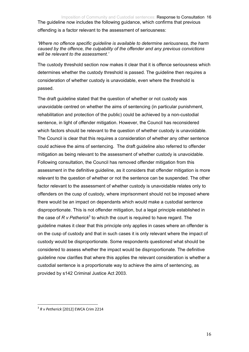Imposition of Community and Custodial sentences: Response to Consultation 16 The guideline now includes the following guidance, which confirms that previous offending is a factor relevant to the assessment of seriousness:

*'Where no offence specific guideline is available to determine seriousness, the harm caused by the offence, the culpability of the offender and any previous convictions will be relevant to the assessment.'* 

The custody threshold section now makes it clear that it is offence seriousness which determines whether the custody threshold is passed. The guideline then requires a consideration of whether custody is unavoidable, even where the threshold is passed.

The draft guideline stated that the question of whether or not custody was unavoidable centred on whether the aims of sentencing (in particular punishment, rehabilitation and protection of the public) could be achieved by a non-custodial sentence, in light of offender mitigation. However, the Council has reconsidered which factors should be relevant to the question of whether custody is unavoidable. The Council is clear that this requires a consideration of whether any other sentence could achieve the aims of sentencing. The draft guideline also referred to offender mitigation as being relevant to the assessment of whether custody is unavoidable. Following consultation, the Council has removed offender mitigation from this assessment in the definitive guideline, as it considers that offender mitigation is more relevant to the question of whether or not the sentence can be suspended. The other factor relevant to the assessment of whether custody is unavoidable relates only to offenders on the cusp of custody, where imprisonment should not be imposed where there would be an impact on dependants which would make a custodial sentence disproportionate. This is not offender mitigation, but a legal principle established in the case of  $R$   $\vee$  Petherick<sup>3</sup> to which the court is required to have regard. The guideline makes it clear that this principle only applies in cases where an offender is on the cusp of custody and that in such cases it is only relevant where the impact of custody would be disproportionate. Some respondents questioned what should be considered to assess whether the impact would be disproportionate. The definitive guideline now clarifies that where this applies the relevant consideration is whether a custodial sentence is a proportionate way to achieve the aims of sentencing, as provided by s142 Criminal Justice Act 2003.

1

<sup>3</sup> *R v Petherick* [2012] EWCA Crim 2214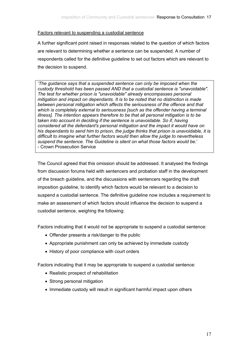#### <span id="page-16-0"></span>Factors relevant to suspending a custodial sentence

A further significant point raised in responses related to the question of which factors are relevant to determining whether a sentence can be suspended. A number of respondents called for the definitive guideline to set out factors which are relevant to the decision to suspend.

*'The guidance says that a suspended sentence can only be imposed when the custody threshold has been passed AND that a custodial sentence is "unavoidable". The test for whether prison is "unavoidable" already encompasses personal mitigation and impact on dependants. It is to be noted that no distinction is made between personal mitigation which affects the seriousness of the offence and that which is completely external to seriousness [such as the offender having a terminal illness]. The intention appears therefore to be that all personal mitigation is to be taken into account in deciding if the sentence is unavoidable. So if, having considered all the defendant's personal mitigation and the impact it would have on his dependants to send him to prison, the judge thinks that prison is unavoidable, it is difficult to imagine what further factors would then allow the judge to nevertheless suspend the sentence. The Guideline is silent on what those factors would be*.' - Crown Prosecution Service

The Council agreed that this omission should be addressed. It analysed the findings from discussion forums held with sentencers and probation staff in the development of the breach guideline, and the discussions with sentencers regarding the draft imposition guideline, to identify which factors would be relevant to a decision to suspend a custodial sentence. The definitive guideline now includes a requirement to make an assessment of which factors should influence the decision to suspend a custodial sentence, weighing the following:

Factors indicating that it would not be appropriate to suspend a custodial sentence:

- Offender presents a risk/danger to the public
- Appropriate punishment can only be achieved by immediate custody
- History of poor compliance with court orders

Factors indicating that it may be appropriate to suspend a custodial sentence:

- Realistic prospect of rehabilitation
- Strong personal mitigation
- Immediate custody will result in significant harmful impact upon others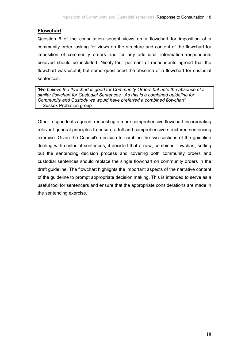## <span id="page-17-0"></span>**Flowchart**

Question 6 of the consultation sought views on a flowchart for imposition of a community order, asking for views on the structure and content of the flowchart for imposition of community orders and for any additional information respondents believed should be included. Ninety-four per cent of respondents agreed that the flowchart was useful, but some questioned the absence of a flowchart for custodial sentences:

*'We believe the flowchart is good for Community Orders but note the absence of a similar flowchart for Custodial Sentences. As this is a combined guideline for Community and Custody we would have preferred a combined flowchart'*  – Sussex Probation group

Other respondents agreed, requesting a more comprehensive flowchart incorporating relevant general principles to ensure a full and comprehensive structured sentencing exercise. Given the Council's decision to combine the two sections of the guideline dealing with custodial sentences, it decided that a new, combined flowchart, setting out the sentencing decision process and covering both community orders and custodial sentences should replace the single flowchart on community orders in the draft guideline. The flowchart highlights the important aspects of the narrative content of the guideline to prompt appropriate decision making. This is intended to serve as a useful tool for sentencers and ensure that the appropriate considerations are made in the sentencing exercise.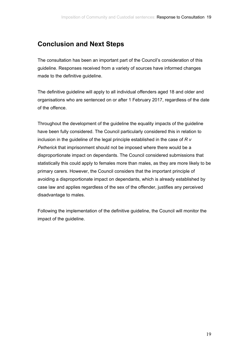## <span id="page-18-0"></span>**Conclusion and Next Steps**

The consultation has been an important part of the Council's consideration of this guideline. Responses received from a variety of sources have informed changes made to the definitive guideline.

The definitive guideline will apply to all individual offenders aged 18 and older and organisations who are sentenced on or after 1 February 2017, regardless of the date of the offence.

Throughout the development of the guideline the equality impacts of the guideline have been fully considered. The Council particularly considered this in relation to inclusion in the guideline of the legal principle established in the case of *R v Petherick* that imprisonment should not be imposed where there would be a disproportionate impact on dependants. The Council considered submissions that statistically this could apply to females more than males, as they are more likely to be primary carers. However, the Council considers that the important principle of avoiding a disproportionate impact on dependants, which is already established by case law and applies regardless of the sex of the offender, justifies any perceived disadvantage to males.

Following the implementation of the definitive guideline, the Council will monitor the impact of the guideline.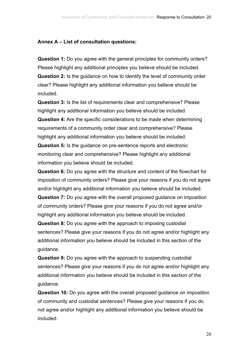## <span id="page-19-0"></span>**Annex A – List of consultation questions:**

**Question 1:** Do you agree with the general principles for community orders? Please highlight any additional principles you believe should be included. **Question 2:** Is the guidance on how to identify the level of community order clear? Please highlight any additional information you believe should be included.

**Question 3:** Is the list of requirements clear and comprehensive? Please highlight any additional information you believe should be included.

**Question 4:** Are the specific considerations to be made when determining requirements of a community order clear and comprehensive? Please highlight any additional information you believe should be included.

**Question 5:** Is the guidance on pre-sentence reports and electronic monitoring clear and comprehensive? Please highlight any additional information you believe should be included.

**Question 6:** Do you agree with the structure and content of the flowchart for imposition of community orders? Please give your reasons if you do not agree and/or highlight any additional information you believe should be included. **Question 7:** Do you agree with the overall proposed guidance on imposition of community orders? Please give your reasons if you do not agree and/or highlight any additional information you believe should be included.

**Question 8:** Do you agree with the approach to imposing custodial sentences? Please give your reasons if you do not agree and/or highlight any additional information you believe should be included in this section of the guidance.

**Question 9:** Do you agree with the approach to suspending custodial sentences? Please give your reasons if you do not agree and/or highlight any additional information you believe should be included in this section of the guidance.

**Question 10:** Do you agree with the overall proposed guidance on imposition of community and custodial sentences? Please give your reasons if you do not agree and/or highlight any additional information you believe should be included.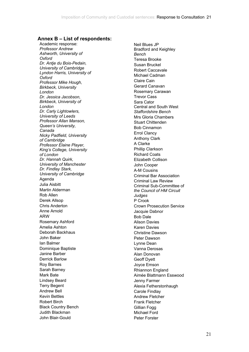#### <span id="page-20-0"></span>**Annex B – List of respondents:**

Academic response: *Professor Andrew Ashworth, University of Oxford Dr. Antje du Bois-Pedain, University of Cambridge Lyndon Harris, University of Oxford Professor Mike Hough, Birkbeck, University London Dr. Jessica Jacobson, Birkbeck, University of London Dr. Carly Lightowlers, University of Leeds Professor Allan Manson, Queen's University, Canada Nicky Padfield, University of Cambridge Professor Elaine Player, King's College, University of London Dr. Hannah Quirk, University of Manchester Dr. Findlay Stark, University of Cambridge* Agenda Julia Aisbitt Martin Alderman Rob Allen Derek Allsop Chris Anderton Anne Arnold ARW Rosemary Ashford Amelia Ashton Deborah Backhaus John Baker Ian Balmer Dominique Baptiste Janine Barber Derrick Barlow Roy Barnes Sarah Barney Mark Bate Lindsey Beard Terry Begent Andrew Bell Kevin Bettles Robert Birch Black Country Bench Judith Blackman John Blair-Gould

Neil Blues JP Bradford and Keighley *Bench* Teresa Brooke Susan Bruckel Robert Caccavale Michael Cadman Claire Cain Gerard Canavan Rosemary Carawan Trevor Cass Sara Cator Central and South West *Staffordshire Bench* Mrs Gloria Chambers Stuart Chittenden Bob Cinnamon Errol Clancy Anthony Clark A Clarke Phillip Clarkson Richard Coats Elizabeth Collison John Cooper A-M Cousins Criminal Bar Association Criminal Law Review Criminal Sub-Committee of *the Council of HM Circuit Judges* P Crook Crown Prosecution Service Jacquie Dabnor Bob Dale Alison Davies Karen Davies Christine Dawson Peter Dawson Lynne Dean Vanna Derosas Alan Donovan Geoff Dyett Joyce Emson Rhiannon England Aimée Blattmann Esswood Jenny Farmer Alexia Fetherstonhaugh Carole Findlay Andrew Fletcher Frank Fletcher Gillian Fogg Michael Ford Peter Forster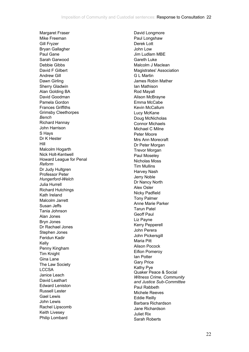Margaret Fraser Mike Freeman Gill Fryzer Bryan Gallagher Paul Gane Sarah Garwood Debbie Gibbs David F Gilbert Andrew Gill Dawn Girling Sherry Gladwin Alan Golding BA David Goodman Pamela Gordon Frances Griffiths Grimsby Cleethorpes *Bench* Richard Hannay John Harrison S Hays Dr K Hester Hill Malcolm Hogarth Nick Holt-Kentwell Howard League for Penal *Reform* Dr Judy Hultgren Professor Peter *Hungerford-Welch* Julia Hurrell Richard Hutchings Kath Ireland Malcolm Jarrett Susan Jeffs Tania Johnson Alan Jones Bryn Jones Dr Rachael Jones Stephen Jones Feridun Kadir Kelly Penny Kingham Tim Knight Gina Lane The Law Society **LCCSA** Janice Leach David Leathart Edward Leniston Russell Lester Gael Lewis John Lewis Rachel Lipscomb Keith Livesey Philip Lombard

David Longmore Paul Longshaw Derek Lott John Low Jim Ludlam MBE Gareth Luke Malcolm J Maclean Magistrates' Association G L Martin James Robin Mather Ian Mathison Rod Mayall Alison McBrayne Emma McCabe Kevin McCallum Lucy McKane Doug McNicholas Connor Michaels Michael C Milne Peter Moore Mrs Ann Morecraft Dr Peter Morgan Trevor Morgan Paul Moseley Nicholas Moss Tim Mullins Harvey Nash Jerry Noble Dr Nancy North Alex Osler Nicky Padfield Tony Palmer Anne Marie Parker Tarun Patel Geoff Paul Liz Payne Kerry Pepperell John Perera John Pickersgill Maria Pitt Alison Pocock Eifion Pomeroy Ian Potter Gary Price Kathy Pye Quaker Peace & Social *Witness Crime, Community and Justice Sub-Committee* Paul Rabbeth Michele Reeves Eddie Reilly Barbara Richardson Jane Richardson Juliet Rix Sarah Roberts